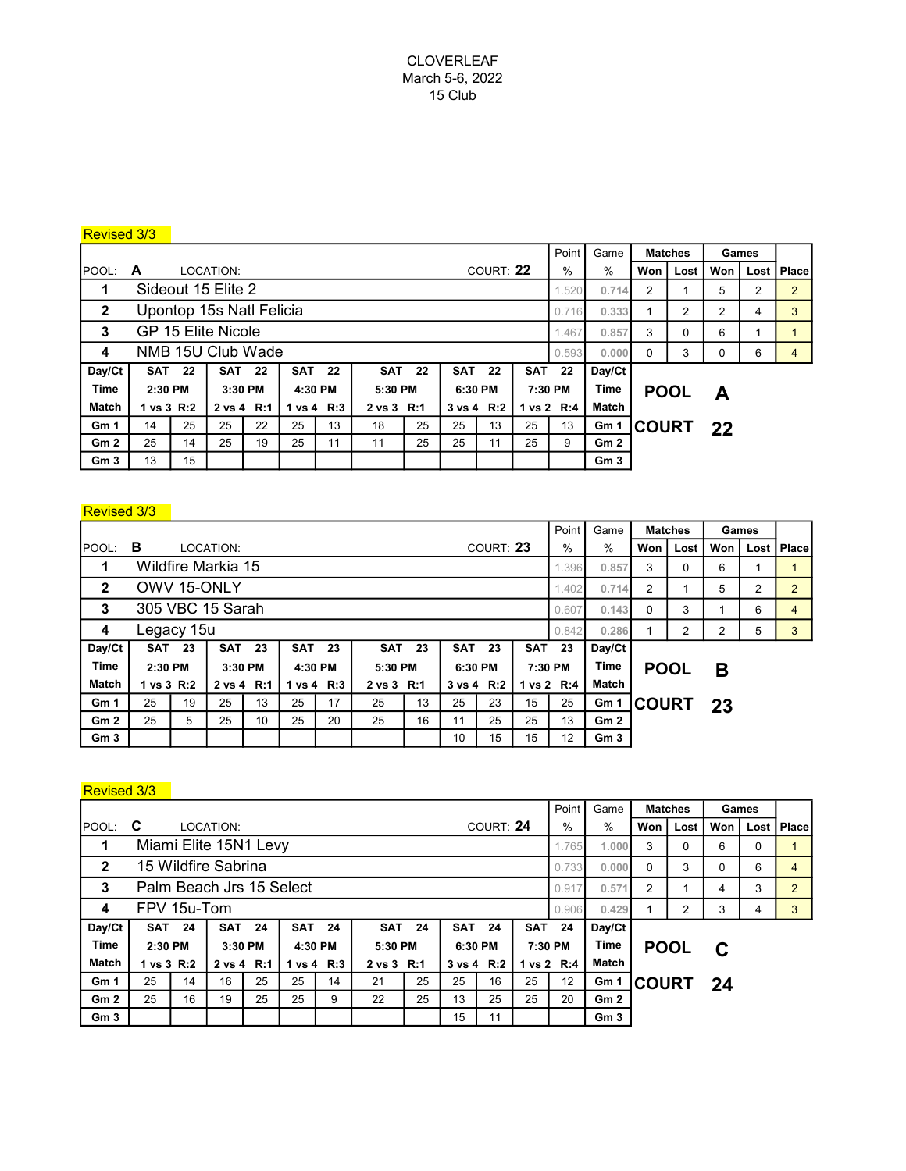# Revised 3/3

|                 |                   |               |                          |               |            |            |            |    |                | Point     | Game       | <b>Matches</b> |                 | Games        |      |     |        |       |
|-----------------|-------------------|---------------|--------------------------|---------------|------------|------------|------------|----|----------------|-----------|------------|----------------|-----------------|--------------|------|-----|--------|-------|
| POOL:           | A                 |               | LOCATION:                |               |            |            |            |    |                | COURT: 22 |            | $\%$           | %               | Won          | Lost | Won | Lost I | Place |
| 1               |                   |               | Sideout 15 Elite 2       |               |            | 1.520      | 0.714      | 2  |                | 5         | 2          | 2              |                 |              |      |     |        |       |
| $\mathbf{2}$    |                   |               | Upontop 15s Natl Felicia |               |            | 0.716      | 0.333      |    | $\overline{2}$ | 2         | 4          | 3              |                 |              |      |     |        |       |
| 3               |                   |               | GP 15 Elite Nicole       |               |            | 1.467      | 0.857      | 3  | 0              | 6         |            |                |                 |              |      |     |        |       |
| 4               | NMB 15U Club Wade |               |                          |               |            |            |            |    |                |           |            |                |                 | $\Omega$     | 3    | 0   | 6      | 4     |
| Day/Ct          |                   | <b>SAT 22</b> |                          | <b>SAT 22</b> | <b>SAT</b> | 22         | <b>SAT</b> | 22 | <b>SAT</b>     | 22        | <b>SAT</b> | 22             | Day/Ct          |              |      |     |        |       |
| <b>Time</b>     | 2:30 PM           |               | 3:30 PM                  |               | 4:30 PM    |            | 5:30 PM    |    | 6:30 PM        |           | 7:30 PM    |                | <b>Time</b>     | <b>POOL</b>  |      | А   |        |       |
| <b>Match</b>    | 1 vs 3 R:2        |               | 2 vs 4 R:1               |               |            | 1 vs 4 R:3 | 2 vs 3 R:1 |    | 3 vs 4 R:2     |           | 1 vs 2 R:4 |                | Match           |              |      |     |        |       |
| Gm <sub>1</sub> | 14                | 25            | 25                       | 22            | 25         | 13         | 18         | 25 | 25             | 13        | 25         | 13             | Gm 1            | <b>COURT</b> |      | 22  |        |       |
| Gm <sub>2</sub> | 25                | 14            | 25                       | 19            | 25         | 11         | 11         | 25 | 25             | 11        | 25         | 9              | Gm2             |              |      |     |        |       |
| Gm <sub>3</sub> | 13                | 15            |                          |               |            |            |            |    |                |           |            |                | Gm <sub>3</sub> |              |      |     |        |       |

## Revised 3/3

|                 |                    |       |                  |         |              |         |            |          |            |           | Point      | Game        | <b>Matches</b>  |                         | Games |        |       |                |
|-----------------|--------------------|-------|------------------|---------|--------------|---------|------------|----------|------------|-----------|------------|-------------|-----------------|-------------------------|-------|--------|-------|----------------|
| POOL:           | в                  |       | LOCATION:        |         |              |         |            |          |            | COURT: 23 | %          | %           | Won             | Lost                    | Won   | Lost I | Place |                |
|                 | Wildfire Markia 15 | 1.396 | 0.857            | 3       | $\Omega$     | 6       |            |          |            |           |            |             |                 |                         |       |        |       |                |
| $\mathbf{2}$    | OWV 15-ONLY        |       |                  |         |              |         |            |          |            |           |            |             |                 | $\overline{2}$<br>0.714 |       | 5      | 2     | $\overline{2}$ |
| 3               |                    |       | 305 VBC 15 Sarah |         |              | 0.607   | 0.143      | $\Omega$ | 3          |           | 6          | 4           |                 |                         |       |        |       |                |
| 4               | Legacy 15u         | 0.842 | 0.286            |         | 2            | 2       | 5          | 3        |            |           |            |             |                 |                         |       |        |       |                |
| Day/Ct          | <b>SAT</b>         | 23    | SAT              | 23      | <b>SAT</b>   | 23      | <b>SAT</b> | 23       | <b>SAT</b> | 23        | <b>SAT</b> | 23          | Day/Ct          |                         |       |        |       |                |
| <b>Time</b>     | 2:30 PM            |       |                  | 3:30 PM |              | 4:30 PM | 5:30 PM    |          | 6:30 PM    |           | 7:30 PM    | <b>Time</b> | <b>POOL</b>     |                         | В     |        |       |                |
| <b>Match</b>    | 1 vs 3 R:2         |       | 2 vs 4 R:1       |         | 1 vs 4 $R:3$ |         | 2 vs 3 R:1 |          | 3 vs 4 R:2 |           | 1 vs 2 R:4 |             | Match           |                         |       |        |       |                |
| Gm <sub>1</sub> | 25                 | 19    | 25               | 13      | 25           | 17      | 25         | 13       | 25         | 23        | 15         | 25          | Gm 1            | <b>COURT</b>            |       | 23     |       |                |
| Gm2             | 25                 | 5     | 25               | 10      | 25           | 20      | 25         | 16       | 11         | 25        | 25         | 13          | Gm2             |                         |       |        |       |                |
| Gm <sub>3</sub> |                    |       |                  |         |              |         |            |          | 10         | 15        | 15         | 12          | Gm <sub>3</sub> |                         |       |        |       |                |

# Revised 3/3

|                 |             |                          |                       |       |                       |       |            |          |                    |           | Point      | Game        | <b>Matches</b>  |              | Games |     |      |       |
|-----------------|-------------|--------------------------|-----------------------|-------|-----------------------|-------|------------|----------|--------------------|-----------|------------|-------------|-----------------|--------------|-------|-----|------|-------|
| <b>POOL:</b>    | C           |                          | LOCATION:             |       |                       |       |            |          |                    | COURT: 24 |            | $\%$        | %               | Won          | Lost  | Won | Lost | Place |
| 1               |             |                          | Miami Elite 15N1 Levy |       | 1.765                 | 1.000 | 3          | 0        | 6                  | 0         |            |             |                 |              |       |     |      |       |
| $\mathbf{2}$    |             |                          | 15 Wildfire Sabrina   |       |                       | 0.733 | 0.000      | $\Omega$ | 3                  | 0         | 6          | 4           |                 |              |       |     |      |       |
| 3               |             | Palm Beach Jrs 15 Select | 0.917                 | 0.57' | 2                     |       | 4          | 3        | $\overline{2}$     |           |            |             |                 |              |       |     |      |       |
| 4               | FPV 15u-Tom |                          |                       |       |                       |       |            |          |                    |           |            |             | 0.906<br>0.429  |              | 2     | 3   | 4    | 3     |
| Day/Ct          | SAT         | -24                      | <b>SAT 24</b>         |       | <b>SAT</b>            | 24    | <b>SAT</b> | 24       | <b>SAT 24</b>      |           | <b>SAT</b> | 24          | Day/Ct          |              |       |     |      |       |
| <b>Time</b>     | 2:30 PM     |                          | 3:30 PM               |       | 4:30 PM               |       | 5:30 PM    |          | 7:30 PM<br>6:30 PM |           |            | <b>Time</b> |                 | <b>POOL</b>  | C     |     |      |       |
| <b>Match</b>    | 1 vs 3 R:2  |                          | 2 vs 4 R:1            |       | $1 \text{ vs } 4$ R:3 |       | 2 vs 3 R:1 |          | 3 vs 4 R:2         |           | 1 vs 2 R:4 |             | Match           |              |       |     |      |       |
| Gm <sub>1</sub> | 25          | 14                       | 16                    | 25    | 25                    | 14    | 21         | 25       | 25                 | 16        | 25         | 12          | Gm 1            | <b>COURT</b> |       | 24  |      |       |
| Gm2             | 25          | 16                       | 19                    | 25    | 25                    | 9     | 22         | 25       | 13                 | 25        | 25         | 20          | Gm2             |              |       |     |      |       |
| Gm <sub>3</sub> |             |                          |                       |       |                       |       |            |          | 15                 | 11        |            |             | Gm <sub>3</sub> |              |       |     |      |       |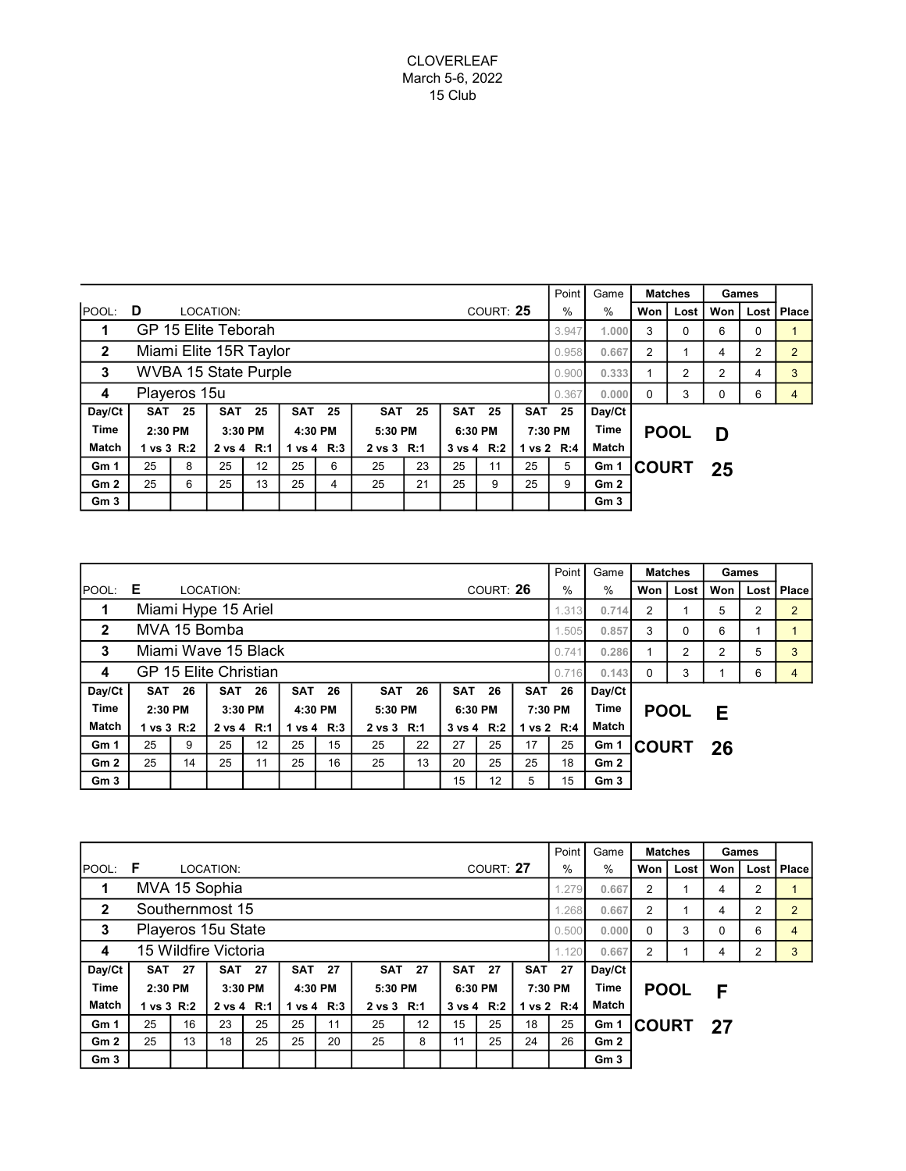### CLOVERLEAF March 5-6, 2022 15 Club

|                 |              |    |                             |    |         |              |            |    | Point      | Game      | <b>Matches</b> |                | Games           |              |      |     |   |              |
|-----------------|--------------|----|-----------------------------|----|---------|--------------|------------|----|------------|-----------|----------------|----------------|-----------------|--------------|------|-----|---|--------------|
| POOL:           | D            |    | LOCATION:                   |    |         |              |            |    |            | COURT: 25 |                | %              | $\%$            | Won          | Lost | Won |   | Lost   Place |
| 1               |              |    | GP 15 Elite Teborah         |    |         | 3.947        | 1.000      | 3  | 0          | 6         | $\Omega$       |                |                 |              |      |     |   |              |
| $\overline{2}$  |              |    | Miami Elite 15R Taylor      |    |         | 0.958        | 0.667      | 2  |            | 4         | 2              | $\overline{2}$ |                 |              |      |     |   |              |
| 3               |              |    | <b>WVBA 15 State Purple</b> |    |         | 0.900        | 0.333      |    | 2          | 2         | 4              | 3              |                 |              |      |     |   |              |
| 4               | Playeros 15u |    |                             |    |         |              |            |    |            |           |                |                |                 | $\Omega$     | 3    | 0   | 6 | 4            |
| Day/Ct          | <b>SAT</b>   | 25 | <b>SAT 25</b>               |    | SAT     | 25           | <b>SAT</b> | 25 | <b>SAT</b> | 25        | <b>SAT</b>     | 25             | Day/Ct          |              |      |     |   |              |
| <b>Time</b>     | 2:30 PM      |    | 3:30 PM                     |    | 4:30 PM |              | 5:30 PM    |    | 6:30 PM    |           | 7:30 PM        |                | <b>Time</b>     | <b>POOL</b>  |      | D   |   |              |
| <b>Match</b>    | 1 vs 3 R:2   |    | 2 vs 4 R:1                  |    |         | 1 vs 4 $R:3$ | 2 vs 3 R:1 |    | 3 vs 4 R:2 |           |                | 1 vs 2 R:4     | Match           |              |      |     |   |              |
| Gm <sub>1</sub> | 25           | 8  | 25                          | 12 | 25      | 6            | 25         | 23 | 25         | 11        | 25             | 5              | Gm 1            | <b>COURT</b> |      | 25  |   |              |
| Gm2             | 25           | 6  | 25                          | 13 | 25      | 4            | 25         | 21 | 25         | 9         | 25             | 9              | Gm2             |              |      |     |   |              |
| Gm <sub>3</sub> |              |    |                             |    |         |              |            |    |            |           |                |                | Gm <sub>3</sub> |              |      |     |   |              |

|                 |                       |       |                     |               |            |            |            |    |                |           | Point      | Game           | <b>Matches</b>  |              | Games |    |              |  |
|-----------------|-----------------------|-------|---------------------|---------------|------------|------------|------------|----|----------------|-----------|------------|----------------|-----------------|--------------|-------|----|--------------|--|
| <b>POOL:</b>    | Е                     |       | LOCATION:           |               |            |            |            |    |                | COURT: 26 | $\%$       | %              | Won             | Lost         | Won   |    | Lost   Place |  |
| 1               |                       |       | Miami Hype 15 Ariel |               |            | 1.313      | 0.714      | 2  |                | 5         | 2          | $\overline{2}$ |                 |              |       |    |              |  |
| $\mathbf{2}$    |                       |       | MVA 15 Bomba        |               |            | 1.505      | 0.857      | 3  | $\Omega$       | 6         |            |                |                 |              |       |    |              |  |
| 3               |                       |       | Miami Wave 15 Black |               |            | 0.741      | 0.286      |    | $\overline{2}$ | 2         | 5          | 3              |                 |              |       |    |              |  |
| 4               | GP 15 Elite Christian | 0.716 | 0.143               | $\Omega$      | 3          |            | 6          | 4  |                |           |            |                |                 |              |       |    |              |  |
| Day/Ct          | SAT                   | -26   |                     | <b>SAT 26</b> | <b>SAT</b> | 26         | <b>SAT</b> | 26 | <b>SAT</b>     | 26        | <b>SAT</b> | 26             | Day/Ct          |              |       |    |              |  |
| <b>Time</b>     | 2:30 PM               |       |                     | 3:30 PM       |            | 4:30 PM    | 5:30 PM    |    | 6:30 PM        |           | 7:30 PM    |                | <b>Time</b>     | <b>POOL</b>  |       | Е  |              |  |
| <b>Match</b>    | 1 vs 3 R:2            |       | 2 vs 4 R:1          |               |            | 1 vs 4 R:3 | 2 vs 3 R:1 |    | 3 vs 4 R:2     |           |            | 1 vs 2 R:4     | Match           |              |       |    |              |  |
| Gm <sub>1</sub> | 25                    | 9     | 25                  | 12            | 25         | 15         | 25         | 22 | 27             | 25        | 17         | 25             | Gm 1            | <b>COURT</b> |       | 26 |              |  |
| Gm2             | 25                    | 14    | 25                  | 11            | 25         | 16         | 25         | 13 | 20             | 25        | 25         | 18             | Gm2             |              |       |    |              |  |
| Gm <sub>3</sub> |                       |       |                     |               |            |            |            |    | 15             | 12        | 5          | 15             | Gm <sub>3</sub> |              |       |    |              |  |

|                 |                      |       |               |          |            |            |            |    |               |           | Point      | Game  |                 | <b>Matches</b> | Games |     |      |                |
|-----------------|----------------------|-------|---------------|----------|------------|------------|------------|----|---------------|-----------|------------|-------|-----------------|----------------|-------|-----|------|----------------|
| POOL:           | F                    |       | LOCATION:     |          |            |            |            |    |               | COURT: 27 |            | $\%$  | $\frac{0}{0}$   | Won            | Lost  | Won | Lost | <b>Place</b>   |
| 1               |                      |       | MVA 15 Sophia |          |            |            |            |    |               |           |            | 1.279 | 0.667           | $\overline{2}$ |       | 4   | 2    |                |
| $\mathbf{2}$    | Southernmost 15      |       |               |          |            |            |            |    |               |           |            |       |                 | $\overline{2}$ |       | 4   | 2    | $\overline{2}$ |
| 3               | Playeros 15u State   | 0.500 | 0.000         | $\Omega$ | 3          | $\Omega$   | 6          | 4  |               |           |            |       |                 |                |       |     |      |                |
| 4               | 15 Wildfire Victoria |       |               |          |            |            |            |    |               |           |            |       | 0.667           | $\overline{2}$ |       | 4   | 2    | 3              |
| Day/Ct          | <b>SAT 27</b>        |       | <b>SAT 27</b> |          | <b>SAT</b> | 27         | SAT        | 27 | <b>SAT 27</b> |           | <b>SAT</b> | 27    | Day/Ct          |                |       |     |      |                |
| <b>Time</b>     | 2:30 PM              |       | 3:30 PM       |          | 4:30 PM    |            | 5:30 PM    |    | 6:30 PM       |           | 7:30 PM    |       | <b>Time</b>     | <b>POOL</b>    |       | F   |      |                |
| <b>Match</b>    | 1 vs 3 R:2           |       | 2 vs 4 R:1    |          |            | 1 vs 4 R:3 | 2 vs 3 R:1 |    | 3 vs 4 R:2    |           | 1 vs 2 R:4 |       | Match           |                |       |     |      |                |
| Gm <sub>1</sub> | 25                   | 16    | 23            | 25       | 25         | 11         | 25         | 12 | 15            | 25        | 18         | 25    | Gm 1            | <b>COURT</b>   |       | 27  |      |                |
| Gm <sub>2</sub> | 25                   | 13    | 18            | 25       | 25         | 20         | 25         | 8  | 11            | 25        | 24         | 26    | Gm <sub>2</sub> |                |       |     |      |                |
| Gm <sub>3</sub> |                      |       |               |          |            |            |            |    |               |           |            |       | Gm <sub>3</sub> |                |       |     |      |                |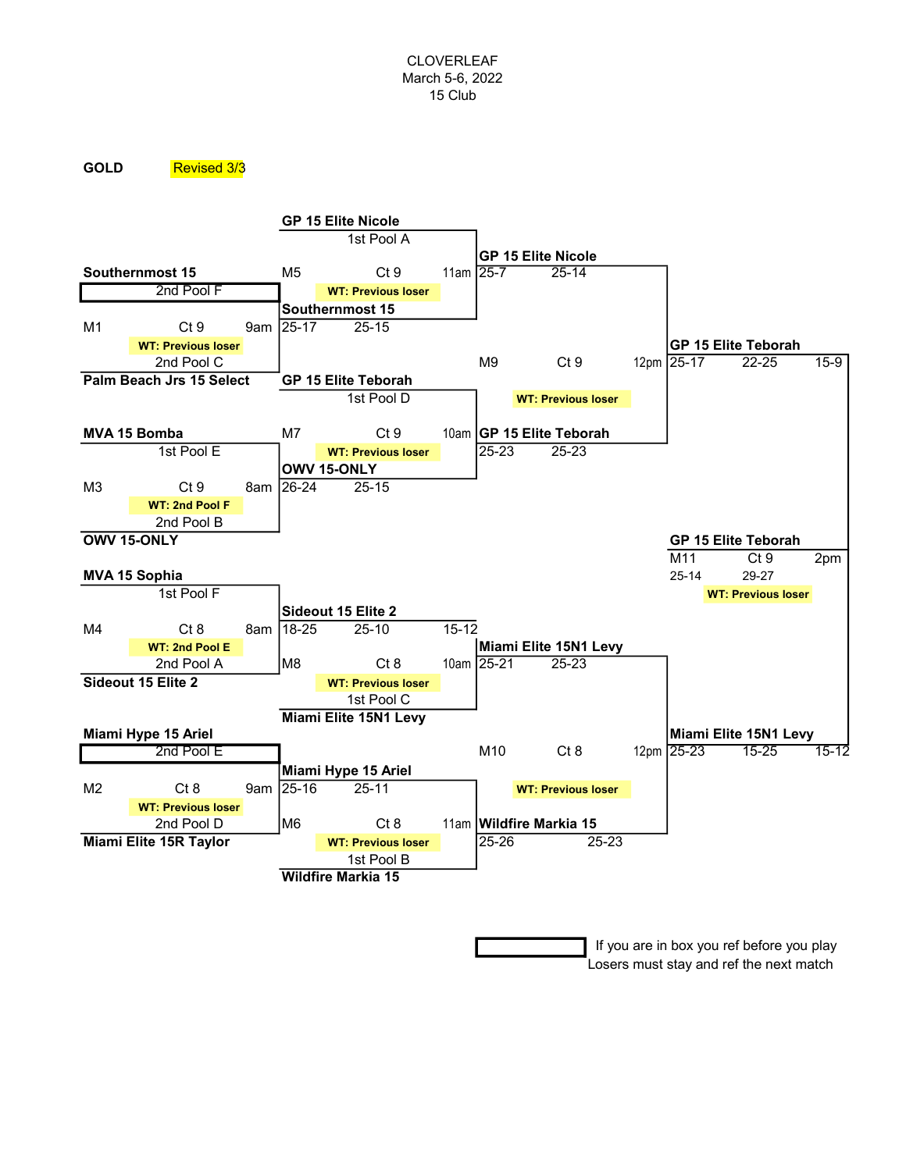### GOLD Revised 3/3



 If you are in box you ref before you play Losers must stay and ref the next match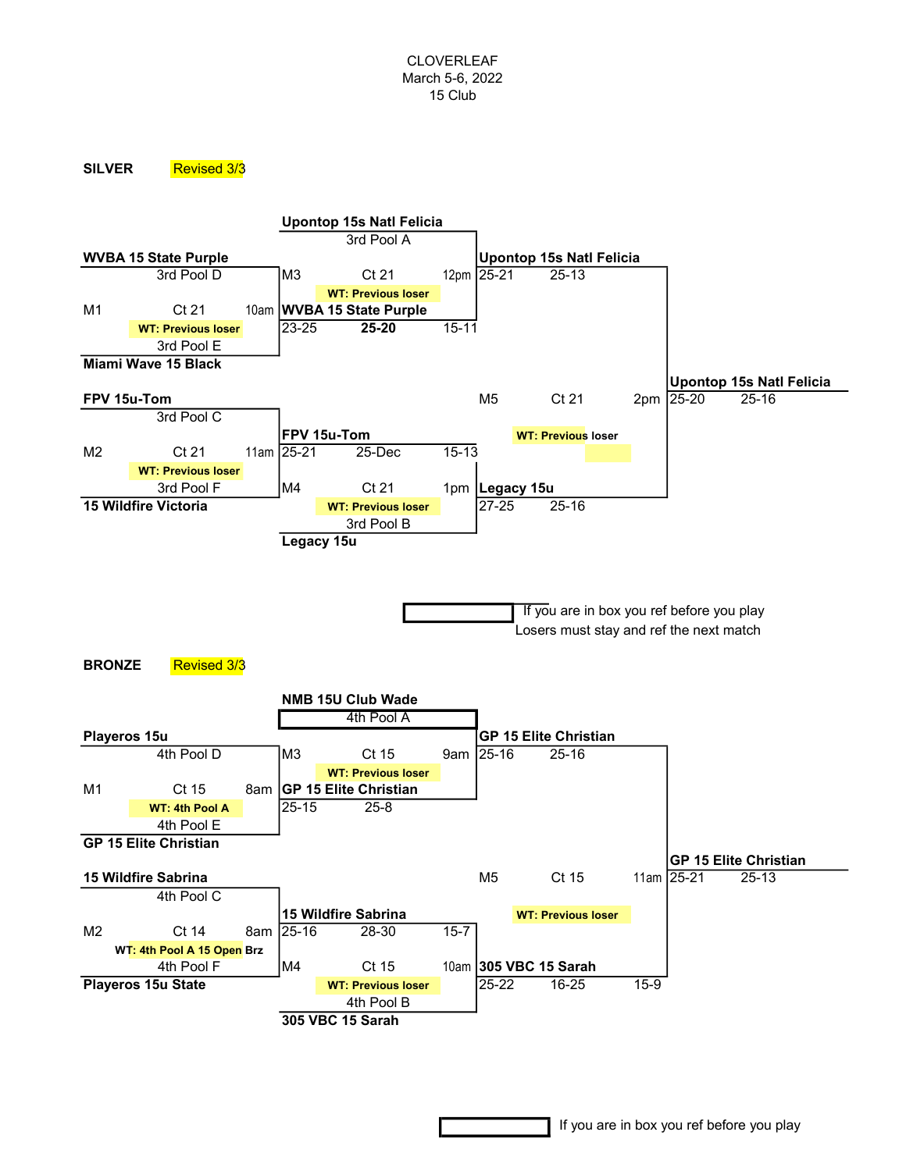#### SILVER Revised 3/3